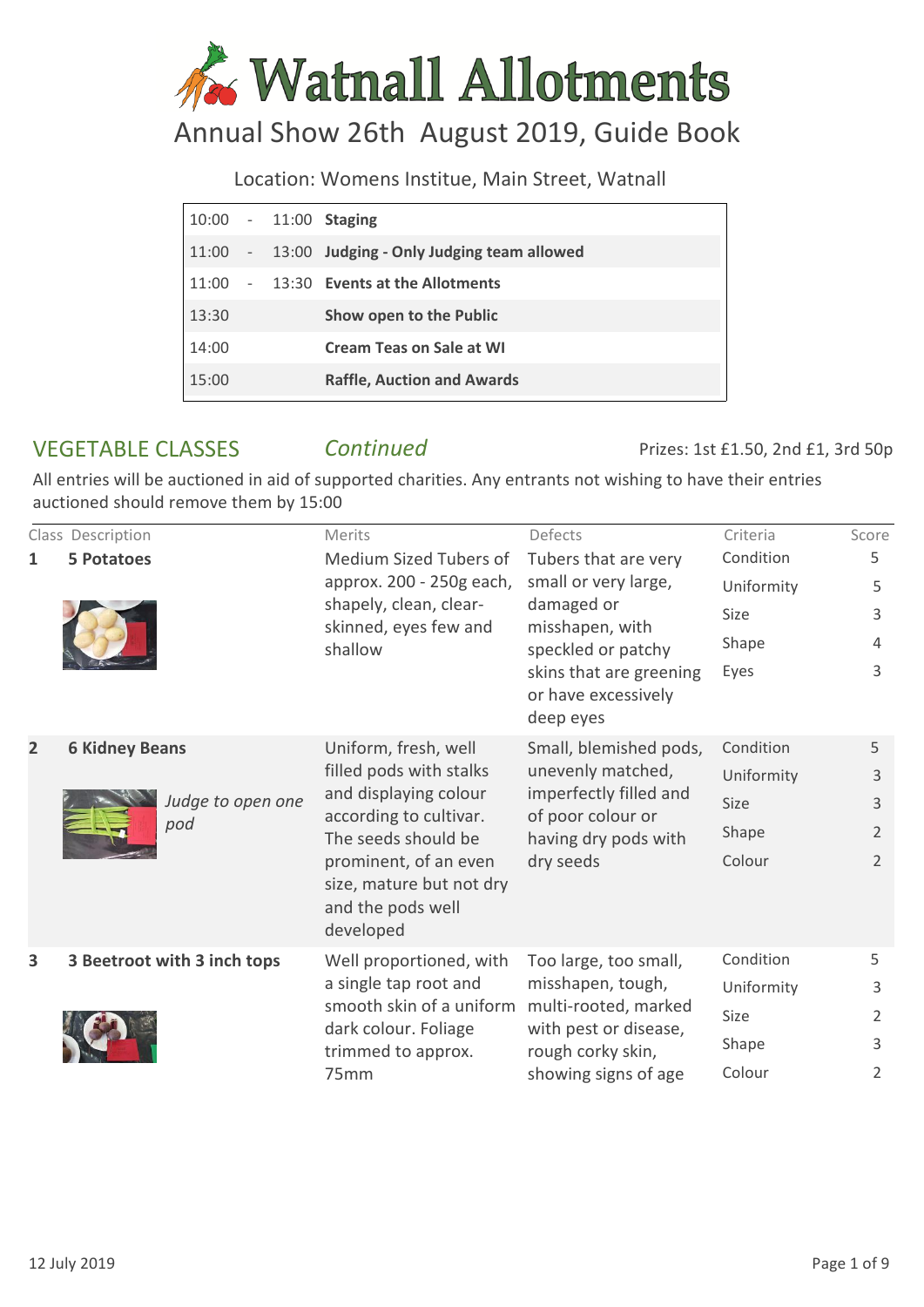# **K** Watnall Allotments

# Annual Show 26th August 2019, Guide Book

Location: Womens Institue, Main Street, Watnall

|       |                 | 10:00 - 11:00 Staging                     |
|-------|-----------------|-------------------------------------------|
| 11:00 | $\sim 10^{-10}$ | 13:00 Judging - Only Judging team allowed |
| 11:00 |                 | - 13:30 Events at the Allotments          |
| 13:30 |                 | Show open to the Public                   |
| 14:00 |                 | <b>Cream Teas on Sale at WI</b>           |
| 15:00 |                 | <b>Raffle, Auction and Awards</b>         |

## VEGETABLE CLASSES *Continued*

Prizes: 1st £1.50, 2nd £1, 3rd 50p

|                | Class Description           | Merits                                                                                                                                                                                                           | Defects                                                                                  | Criteria                | Score          |
|----------------|-----------------------------|------------------------------------------------------------------------------------------------------------------------------------------------------------------------------------------------------------------|------------------------------------------------------------------------------------------|-------------------------|----------------|
| 1              | <b>5 Potatoes</b>           | Medium Sized Tubers of<br>approx. 200 - 250g each,                                                                                                                                                               | Tubers that are very<br>small or very large,                                             | Condition<br>Uniformity | 5<br>5         |
|                |                             | shapely, clean, clear-                                                                                                                                                                                           | damaged or                                                                               | Size                    | 3              |
|                |                             | skinned, eyes few and<br>shallow                                                                                                                                                                                 | misshapen, with<br>speckled or patchy                                                    | Shape                   | 4              |
|                |                             |                                                                                                                                                                                                                  | skins that are greening<br>or have excessively<br>deep eyes                              | Eyes                    | 3              |
| $\overline{2}$ | <b>6 Kidney Beans</b>       | Uniform, fresh, well<br>filled pods with stalks<br>and displaying colour<br>according to cultivar.<br>The seeds should be<br>prominent, of an even<br>size, mature but not dry<br>and the pods well<br>developed | Small, blemished pods,                                                                   | Condition               | 5              |
|                | Judge to open one<br>pod    |                                                                                                                                                                                                                  | unevenly matched,<br>imperfectly filled and<br>of poor colour or<br>having dry pods with | Uniformity              | 3              |
|                |                             |                                                                                                                                                                                                                  |                                                                                          | <b>Size</b>             | 3              |
|                |                             |                                                                                                                                                                                                                  |                                                                                          | Shape                   | 2              |
|                |                             |                                                                                                                                                                                                                  | dry seeds                                                                                | Colour                  | $\overline{2}$ |
| 3              | 3 Beetroot with 3 inch tops | Well proportioned, with                                                                                                                                                                                          | Too large, too small,                                                                    | Condition               | 5              |
|                |                             | a single tap root and                                                                                                                                                                                            | misshapen, tough,<br>multi-rooted, marked                                                | Uniformity              | 3              |
|                |                             | smooth skin of a uniform                                                                                                                                                                                         |                                                                                          | Size                    | 2              |
|                |                             | dark colour. Foliage<br>trimmed to approx.                                                                                                                                                                       | with pest or disease,<br>rough corky skin,                                               | Shape                   | 3              |
|                |                             | 75mm                                                                                                                                                                                                             | showing signs of age                                                                     | Colour                  | $\overline{2}$ |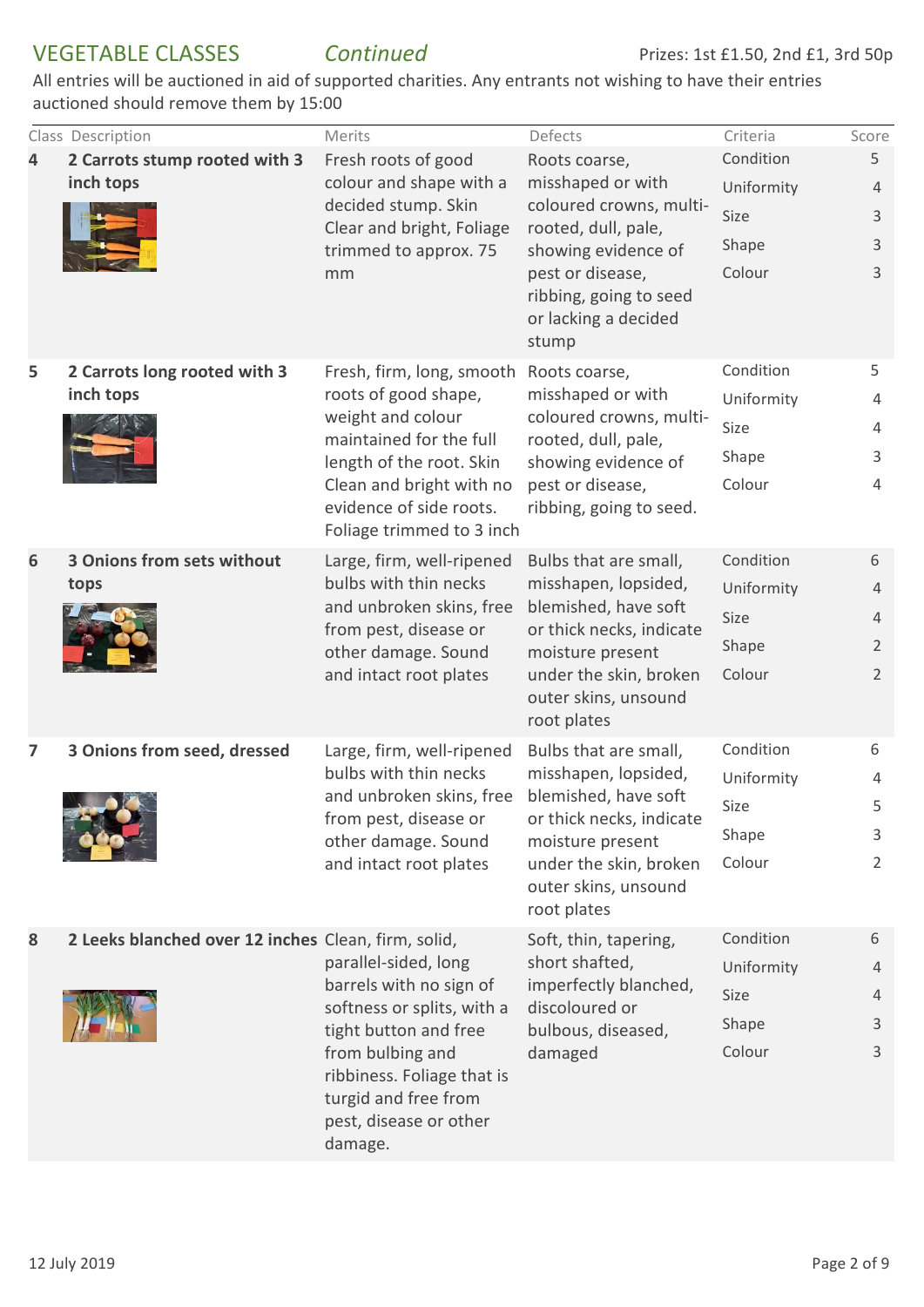| 4 | Class Description<br>2 Carrots stump rooted with 3<br>inch tops | Merits<br>Fresh roots of good<br>colour and shape with a<br>decided stump. Skin<br>Clear and bright, Foliage<br>trimmed to approx. 75<br>mm                                                                           | Defects<br>Roots coarse,<br>misshaped or with<br>coloured crowns, multi-<br>rooted, dull, pale,<br>showing evidence of<br>pest or disease,<br>ribbing, going to seed                        | Criteria<br>Condition<br>Uniformity<br>Size<br>Shape<br>Colour | Score<br>5<br>$\overline{4}$<br>$\mathsf{3}$<br>3<br>3       |
|---|-----------------------------------------------------------------|-----------------------------------------------------------------------------------------------------------------------------------------------------------------------------------------------------------------------|---------------------------------------------------------------------------------------------------------------------------------------------------------------------------------------------|----------------------------------------------------------------|--------------------------------------------------------------|
| 5 | 2 Carrots long rooted with 3<br>inch tops                       | Fresh, firm, long, smooth<br>roots of good shape,<br>weight and colour<br>maintained for the full<br>length of the root. Skin<br>Clean and bright with no<br>evidence of side roots.<br>Foliage trimmed to 3 inch     | or lacking a decided<br>stump<br>Roots coarse,<br>misshaped or with<br>coloured crowns, multi-<br>rooted, dull, pale,<br>showing evidence of<br>pest or disease,<br>ribbing, going to seed. | Condition<br>Uniformity<br>Size<br>Shape<br>Colour             | 5<br>4<br>4<br>3<br>$\overline{4}$                           |
| 6 | 3 Onions from sets without<br>tops                              | Large, firm, well-ripened<br>bulbs with thin necks<br>and unbroken skins, free<br>from pest, disease or<br>other damage. Sound<br>and intact root plates                                                              | Bulbs that are small,<br>misshapen, lopsided,<br>blemished, have soft<br>or thick necks, indicate<br>moisture present<br>under the skin, broken<br>outer skins, unsound<br>root plates      | Condition<br>Uniformity<br>Size<br>Shape<br>Colour             | 6<br>4<br>$\overline{4}$<br>$\overline{2}$<br>$\overline{2}$ |
| 7 | 3 Onions from seed, dressed                                     | Large, firm, well-ripened<br>bulbs with thin necks<br>and unbroken skins, free<br>from pest, disease or<br>other damage. Sound<br>and intact root plates                                                              | Bulbs that are small,<br>misshapen, lopsided,<br>blemished, have soft<br>or thick necks, indicate<br>moisture present<br>under the skin, broken<br>outer skins, unsound<br>root plates      | Condition<br>Uniformity<br>Size<br>Shape<br>Colour             | 6<br>$\overline{4}$<br>5<br>3<br>$\overline{2}$              |
| 8 | 2 Leeks blanched over 12 inches Clean, firm, solid,             | parallel-sided, long<br>barrels with no sign of<br>softness or splits, with a<br>tight button and free<br>from bulbing and<br>ribbiness. Foliage that is<br>turgid and free from<br>pest, disease or other<br>damage. | Soft, thin, tapering,<br>short shafted,<br>imperfectly blanched,<br>discoloured or<br>bulbous, diseased,<br>damaged                                                                         | Condition<br>Uniformity<br>Size<br>Shape<br>Colour             | 6<br>$\overline{4}$<br>4<br>3<br>3                           |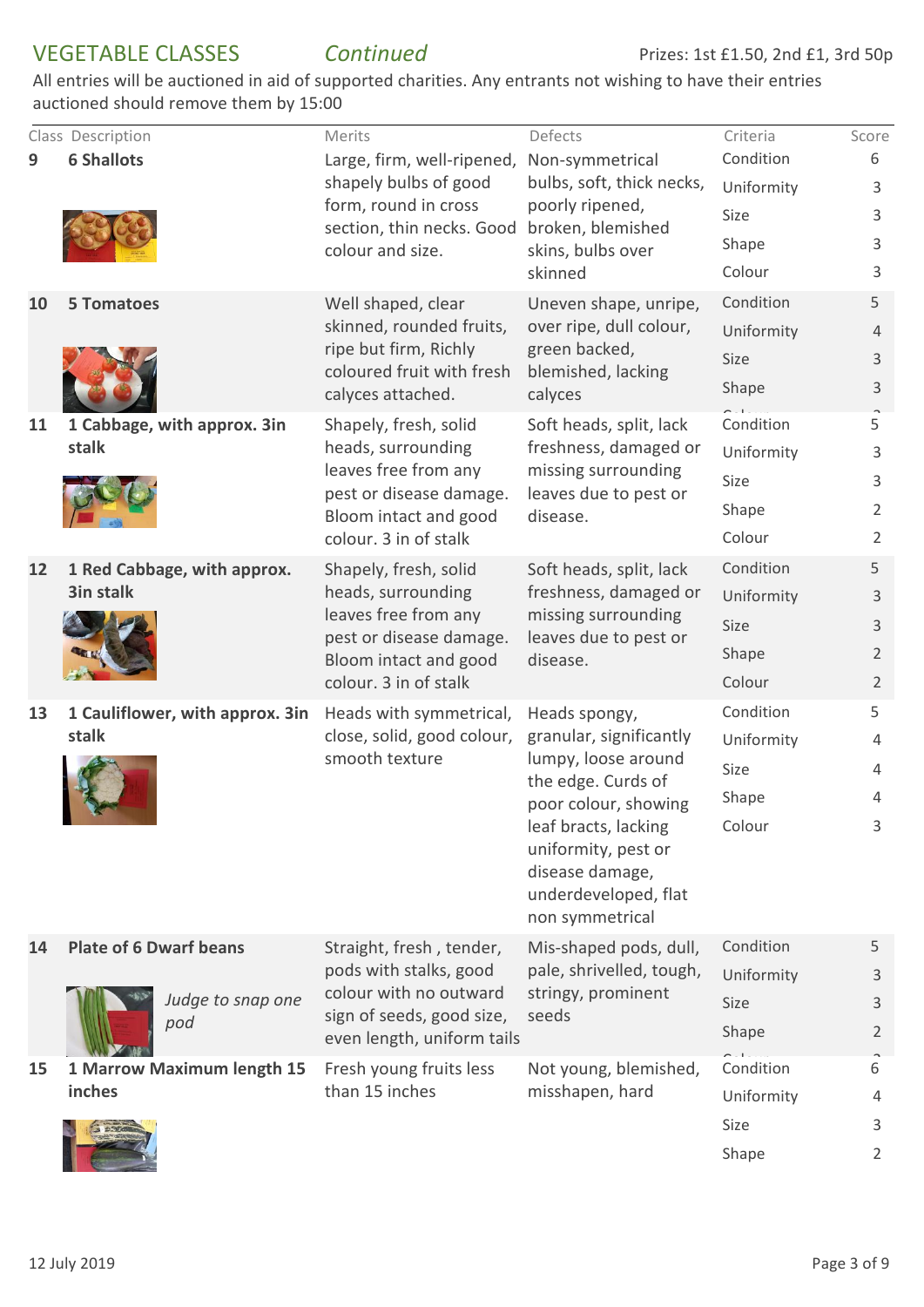|    | Class Description                        | Merits                                                | Defects                                            | Criteria                | Score               |
|----|------------------------------------------|-------------------------------------------------------|----------------------------------------------------|-------------------------|---------------------|
| 9  | <b>6 Shallots</b>                        | Large, firm, well-ripened,<br>shapely bulbs of good   | Non-symmetrical<br>bulbs, soft, thick necks,       | Condition               | 6                   |
|    |                                          | form, round in cross                                  | poorly ripened,                                    | Uniformity<br>Size      | 3                   |
|    |                                          | section, thin necks. Good                             | broken, blemished                                  | Shape                   | 3<br>3              |
|    |                                          | colour and size.                                      | skins, bulbs over<br>skinned                       | Colour                  | 3                   |
|    |                                          |                                                       |                                                    | Condition               |                     |
| 10 | <b>5 Tomatoes</b>                        | Well shaped, clear<br>skinned, rounded fruits,        | Uneven shape, unripe,<br>over ripe, dull colour,   | Uniformity              | 5                   |
|    |                                          | ripe but firm, Richly                                 | green backed,                                      | Size                    | 4<br>3              |
|    |                                          | coloured fruit with fresh                             | blemished, lacking                                 | Shape                   | 3                   |
|    |                                          | calyces attached.                                     | calyces                                            |                         |                     |
| 11 | 1 Cabbage, with approx. 3in              | Shapely, fresh, solid                                 | Soft heads, split, lack<br>freshness, damaged or   | Condition               | 5                   |
|    | stalk                                    | heads, surrounding<br>leaves free from any            | missing surrounding                                | Uniformity              | 3                   |
|    |                                          | pest or disease damage.                               | leaves due to pest or                              | Size                    | 3                   |
|    |                                          | Bloom intact and good                                 | disease.                                           | Shape                   | 2                   |
|    |                                          | colour. 3 in of stalk                                 |                                                    | Colour                  | $\overline{2}$      |
| 12 | 1 Red Cabbage, with approx.<br>3in stalk | Shapely, fresh, solid<br>heads, surrounding           | Soft heads, split, lack<br>freshness, damaged or   | Condition               | 5                   |
|    |                                          | leaves free from any<br>pest or disease damage.       | missing surrounding<br>leaves due to pest or       | Uniformity              | 3                   |
|    |                                          |                                                       |                                                    | Size                    | 3                   |
|    |                                          | Bloom intact and good                                 | disease.                                           | Shape                   | $\overline{2}$      |
|    |                                          | colour. 3 in of stalk                                 |                                                    | Colour                  | $\overline{2}$      |
| 13 | 1 Cauliflower, with approx. 3in<br>stalk | Heads with symmetrical,<br>close, solid, good colour, | Heads spongy,<br>granular, significantly           | Condition<br>Uniformity | 5<br>4              |
|    |                                          | smooth texture                                        | lumpy, loose around                                | Size                    | 4                   |
|    |                                          |                                                       | the edge. Curds of                                 | Shape                   | $\overline{4}$      |
|    |                                          |                                                       | poor colour, showing<br>leaf bracts, lacking       | Colour                  | 3                   |
|    |                                          |                                                       | uniformity, pest or                                |                         |                     |
|    |                                          |                                                       | disease damage,                                    |                         |                     |
|    |                                          |                                                       | underdeveloped, flat                               |                         |                     |
|    |                                          |                                                       | non symmetrical                                    |                         |                     |
| 14 | <b>Plate of 6 Dwarf beans</b>            | Straight, fresh, tender,<br>pods with stalks, good    | Mis-shaped pods, dull,<br>pale, shrivelled, tough, | Condition<br>Uniformity | 5                   |
|    | Judge to snap one                        | colour with no outward                                | stringy, prominent                                 | Size                    | 3                   |
|    | pod                                      | sign of seeds, good size,                             | seeds                                              | Shape                   | 3<br>$\overline{2}$ |
|    |                                          | even length, uniform tails                            |                                                    |                         |                     |
| 15 | 1 Marrow Maximum length 15               | Fresh young fruits less<br>than 15 inches             | Not young, blemished,                              | Condition               | 6                   |
|    | inches                                   |                                                       | misshapen, hard                                    | Uniformity              | $\overline{4}$      |
|    |                                          |                                                       |                                                    | Size                    | 3                   |
|    |                                          |                                                       |                                                    | Shape                   | $\overline{2}$      |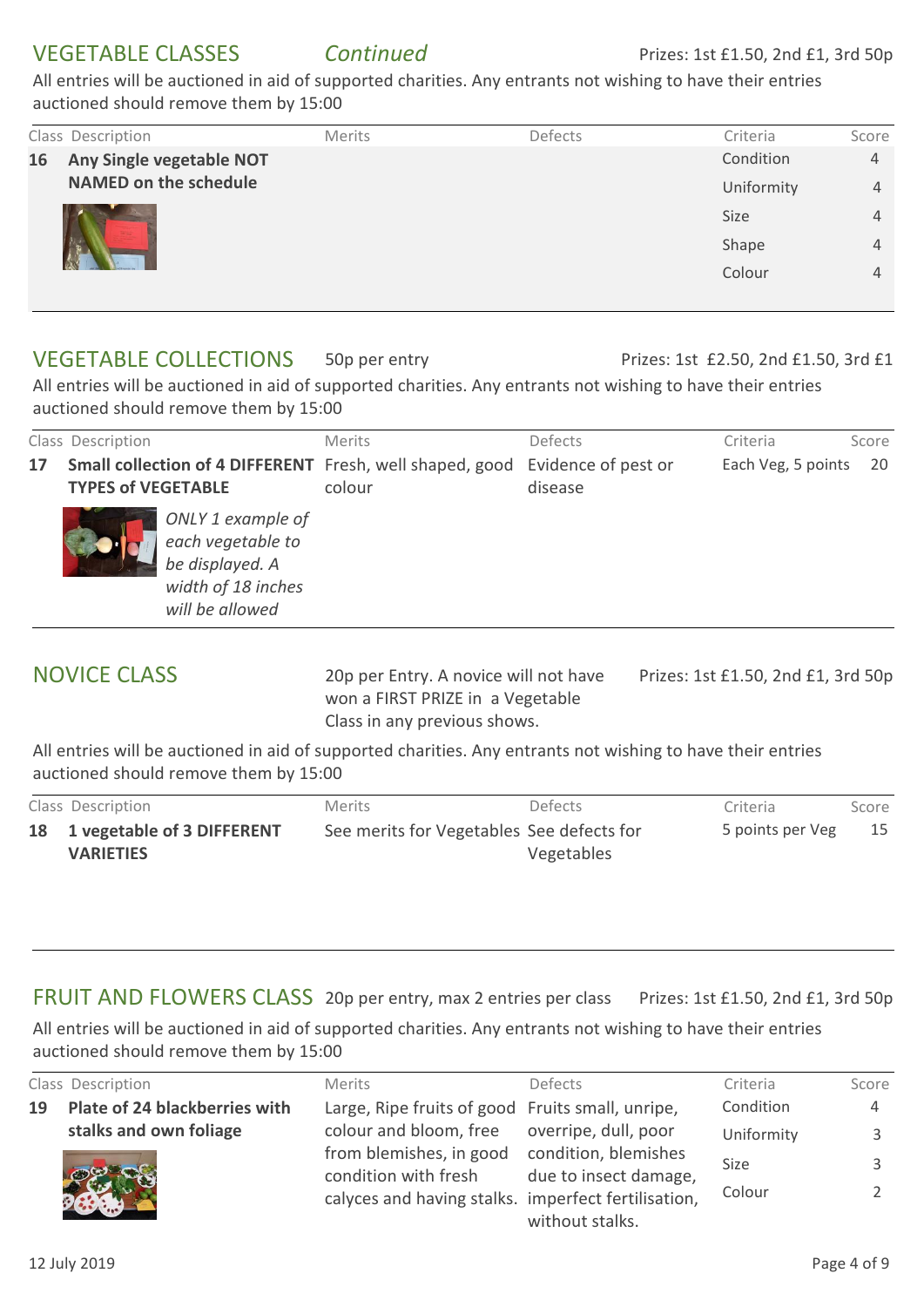|    | Class Description            | Merits | Defects | Criteria   | Score |
|----|------------------------------|--------|---------|------------|-------|
| 16 | Any Single vegetable NOT     |        |         | Condition  | 4     |
|    | <b>NAMED on the schedule</b> |        |         | Uniformity | 4     |
|    |                              |        |         | Size       | 4     |
|    |                              |        |         | Shape      | 4     |
|    |                              |        |         | Colour     | 4     |
|    |                              |        |         |            |       |

#### 50p per entry VEGETABLE COLLECTIONS

#### Prizes: 1st £2.50, 2nd £1.50, 3rd £1

All entries will be auctioned in aid of supported charities. Any entrants not wishing to have their entries auctioned should remove them by 15:00

|    | Class Description         |                                                                                                    | <b>Merits</b>                                                                          | Defects | Criteria           | Score |
|----|---------------------------|----------------------------------------------------------------------------------------------------|----------------------------------------------------------------------------------------|---------|--------------------|-------|
| 17 | <b>TYPES of VEGETABLE</b> |                                                                                                    | Small collection of 4 DIFFERENT Fresh, well shaped, good Evidence of pest or<br>colour | disease | Each Veg, 5 points | 20    |
|    |                           | ONLY 1 example of<br>each vegetable to<br>be displayed. A<br>width of 18 inches<br>will be allowed |                                                                                        |         |                    |       |

# NOVICE CLASS

20p per Entry. A novice will not have won a FIRST PRIZE in a Vegetable Class in any previous shows.

Prizes: 1st £1.50, 2nd £1, 3rd 50p

All entries will be auctioned in aid of supported charities. Any entrants not wishing to have their entries auctioned should remove them by 15:00

| Class Description             | <b>Merits</b>                             | <b>Defects</b> | Criteria         | Score |
|-------------------------------|-------------------------------------------|----------------|------------------|-------|
| 18 1 vegetable of 3 DIFFERENT | See merits for Vegetables See defects for |                | 5 points per Veg | 15    |
| <b>VARIETIES</b>              |                                           | Vegetables     |                  |       |

#### FRUIT AND FLOWERS CLASS 20p per entry, max 2 entries per class Prizes: 1st £1.50, 2nd £1, 3rd 50p

|    | Class Description             | <b>Merits</b>                                                                                          | <b>Defects</b>                                | Criteria              | Score |
|----|-------------------------------|--------------------------------------------------------------------------------------------------------|-----------------------------------------------|-----------------------|-------|
| 19 | Plate of 24 blackberries with | Large, Ripe fruits of good Fruits small, unripe,                                                       |                                               | Condition             | 4     |
|    | stalks and own foliage        | colour and bloom, free overripe, dull, poor                                                            |                                               | Uniformity            |       |
|    |                               | from blemishes, in good<br>condition with fresh<br>calyces and having stalks. imperfect fertilisation, | condition, blemishes<br>due to insect damage, | <b>Size</b><br>Colour |       |
|    |                               |                                                                                                        | without stalks.                               |                       |       |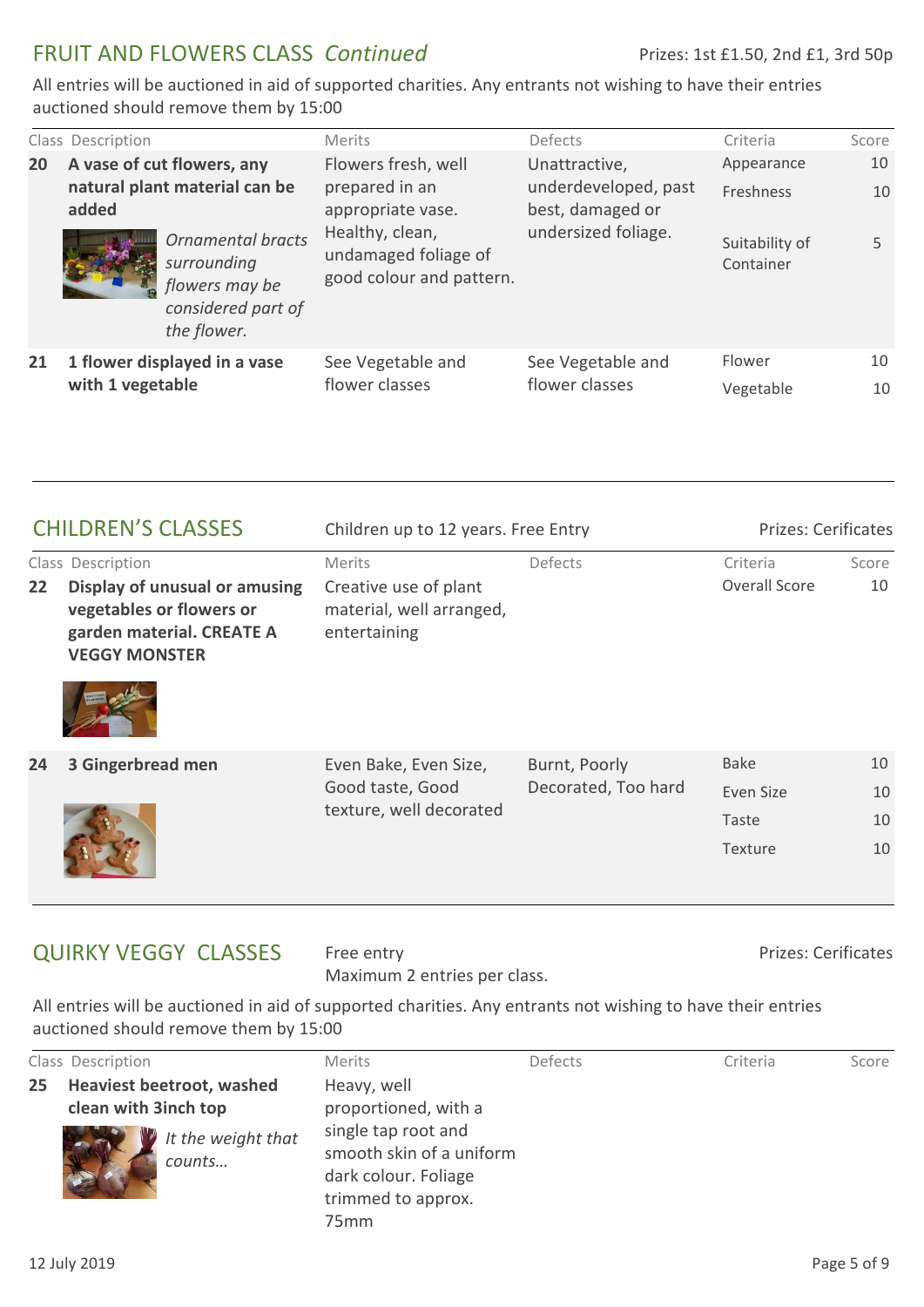# FRUIT AND FLOWERS CLASS *Continued*

All entries will be auctioned in aid of supported charities. Any entrants not wishing to have their entries auctioned should remove them by 15:00

|    | Class Description                                                    |                                                                                         | <b>Merits</b>                                                       | Defects                                                   | Criteria                    | Score |
|----|----------------------------------------------------------------------|-----------------------------------------------------------------------------------------|---------------------------------------------------------------------|-----------------------------------------------------------|-----------------------------|-------|
| 20 | A vase of cut flowers, any<br>natural plant material can be<br>added |                                                                                         | Flowers fresh, well                                                 | Unattractive,<br>underdeveloped, past<br>best, damaged or | Appearance                  | 10    |
|    |                                                                      |                                                                                         | prepared in an<br>appropriate vase.                                 |                                                           | <b>Freshness</b>            | 10    |
|    |                                                                      | Ornamental bracts<br>surrounding<br>flowers may be<br>considered part of<br>the flower. | Healthy, clean,<br>undamaged foliage of<br>good colour and pattern. | undersized foliage.                                       | Suitability of<br>Container | 5     |
| 21 | 1 flower displayed in a vase<br>with 1 vegetable                     |                                                                                         | See Vegetable and<br>flower classes                                 | See Vegetable and<br>flower classes                       | Flower                      | 10    |
|    |                                                                      |                                                                                         |                                                                     |                                                           | Vegetable                   | 10    |

| <b>CHILDREN'S CLASSES</b> |                                                                                                                | Children up to 12 years. Free Entry                               |                     | <b>Prizes: Cerificates</b> |       |
|---------------------------|----------------------------------------------------------------------------------------------------------------|-------------------------------------------------------------------|---------------------|----------------------------|-------|
|                           | Class Description                                                                                              | <b>Merits</b>                                                     | Defects             | Criteria                   | Score |
| 22                        | Display of unusual or amusing<br>vegetables or flowers or<br>garden material. CREATE A<br><b>VEGGY MONSTER</b> | Creative use of plant<br>material, well arranged,<br>entertaining |                     | Overall Score              | 10    |
|                           |                                                                                                                |                                                                   |                     |                            |       |
| 24                        | 3 Gingerbread men                                                                                              | Even Bake, Even Size,                                             | Burnt, Poorly       | <b>Bake</b>                | 10    |
|                           |                                                                                                                | Good taste, Good                                                  | Decorated, Too hard | Even Size                  | 10    |
|                           |                                                                                                                | texture, well decorated                                           |                     | Taste                      | 10    |
|                           |                                                                                                                |                                                                   |                     | <b>Texture</b>             | 10    |

## QUIRKY VEGGY CLASSES

Free entry Maximum 2 entries per class. Prizes: Cerificates

|                 | Class Description                                        |                              | <b>Merits</b>                                                                                                     | Defects | Criteria | Score |
|-----------------|----------------------------------------------------------|------------------------------|-------------------------------------------------------------------------------------------------------------------|---------|----------|-------|
| 25 <sub>1</sub> | <b>Heaviest beetroot, washed</b><br>clean with 3inch top |                              | Heavy, well<br>proportioned, with a                                                                               |         |          |       |
|                 |                                                          | It the weight that<br>counts | single tap root and<br>smooth skin of a uniform<br>dark colour. Foliage<br>trimmed to approx.<br>75 <sub>mm</sub> |         |          |       |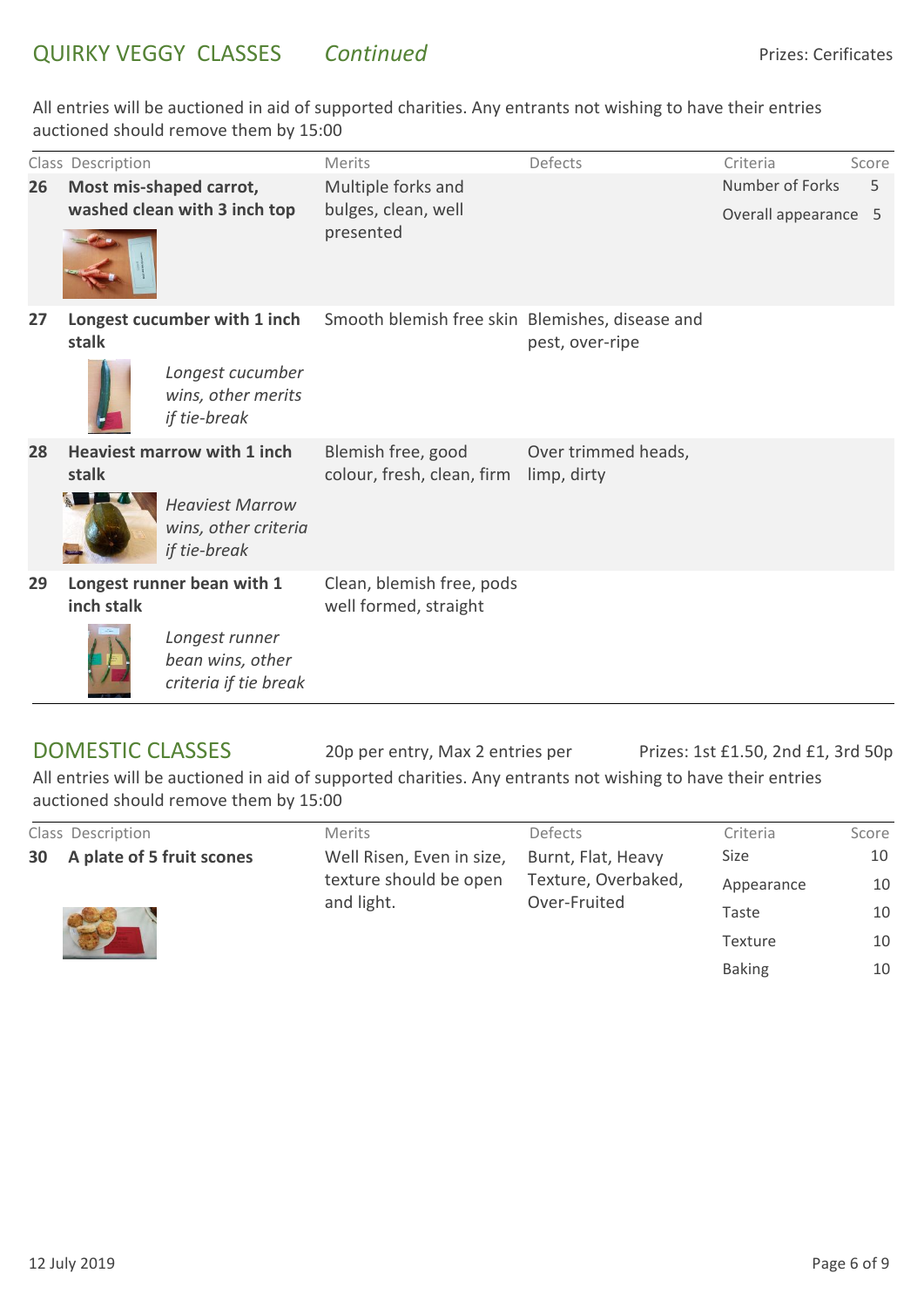|    | Class Description |                                                                | Merits                                             | Defects                            | Criteria             | Score |
|----|-------------------|----------------------------------------------------------------|----------------------------------------------------|------------------------------------|----------------------|-------|
| 26 |                   | Most mis-shaped carrot,                                        | Multiple forks and                                 |                                    | Number of Forks      | 5     |
|    |                   | washed clean with 3 inch top                                   | bulges, clean, well<br>presented                   |                                    | Overall appearance 5 |       |
| 27 | stalk             | Longest cucumber with 1 inch                                   | Smooth blemish free skin Blemishes, disease and    | pest, over-ripe                    |                      |       |
|    |                   | Longest cucumber<br>wins, other merits<br>if tie-break         |                                                    |                                    |                      |       |
| 28 | stalk             | <b>Heaviest marrow with 1 inch</b>                             | Blemish free, good<br>colour, fresh, clean, firm   | Over trimmed heads,<br>limp, dirty |                      |       |
|    |                   | <b>Heaviest Marrow</b><br>wins, other criteria<br>if tie-break |                                                    |                                    |                      |       |
| 29 | inch stalk        | Longest runner bean with 1                                     | Clean, blemish free, pods<br>well formed, straight |                                    |                      |       |
|    |                   | Longest runner<br>bean wins, other<br>criteria if tie break    |                                                    |                                    |                      |       |

20p per entry, Max 2 entries per DOMESTIC CLASSES Prizes: 1st £1.50, 2nd £1, 3rd 50p All entries will be auctioned in aid of supported charities. Any entrants not wishing to have their entries auctioned should remove them by 15:00

|  | Class Description            | <b>Merits</b>             | Defects             | Criteria       | Score |
|--|------------------------------|---------------------------|---------------------|----------------|-------|
|  | 30 A plate of 5 fruit scones | Well Risen, Even in size, | Burnt, Flat, Heavy  | <b>Size</b>    | 10    |
|  |                              | texture should be open    | Texture, Overbaked, | Appearance     | 10    |
|  |                              | and light.                | Over-Fruited        | Taste          | 10    |
|  |                              |                           |                     | <b>Texture</b> | 10    |
|  |                              |                           |                     | <b>Baking</b>  | 10    |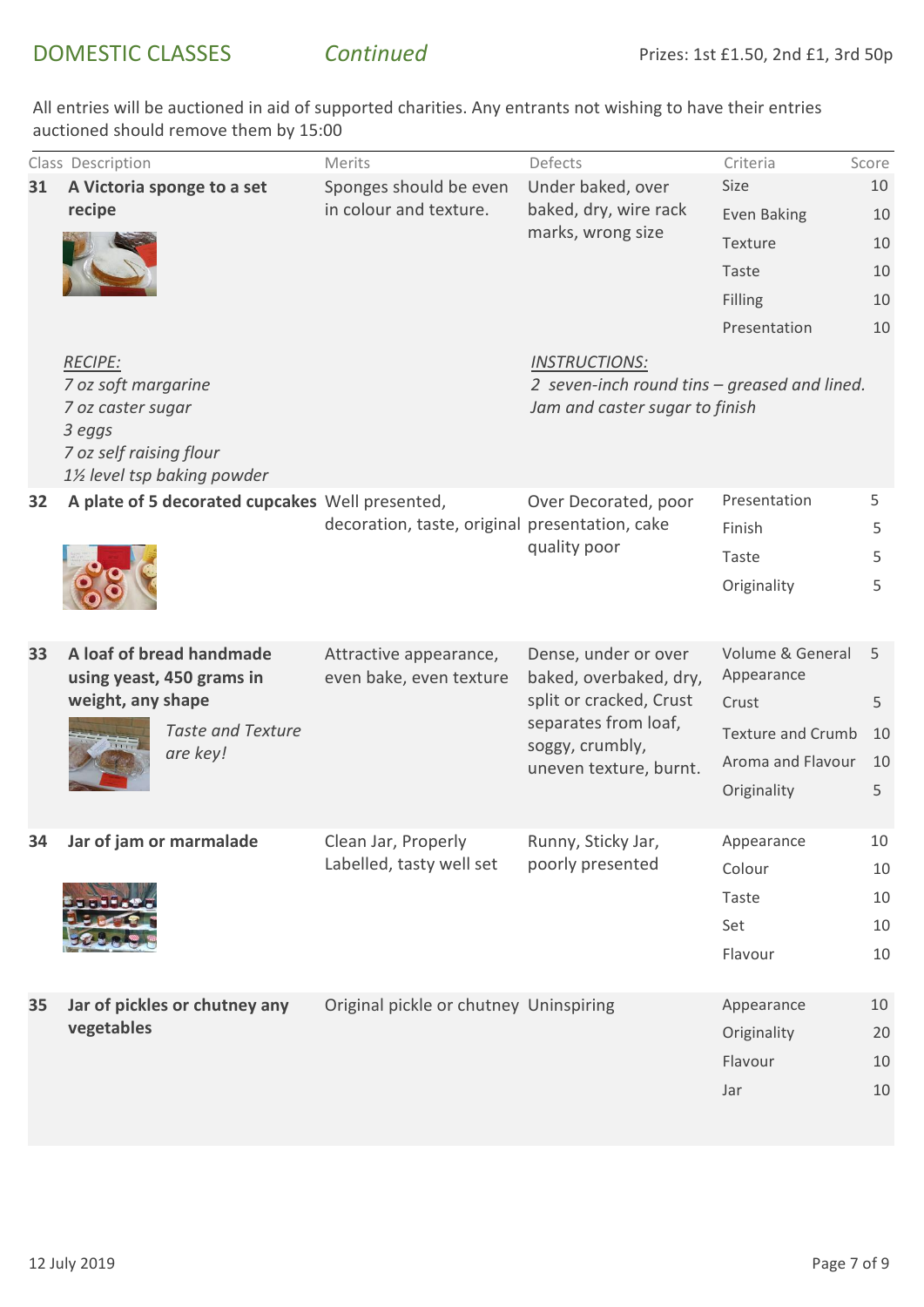|    | Class Description                                                                                                             | Merits                                            | Defects                                                                                                                                        | Criteria                 | Score |
|----|-------------------------------------------------------------------------------------------------------------------------------|---------------------------------------------------|------------------------------------------------------------------------------------------------------------------------------------------------|--------------------------|-------|
| 31 | A Victoria sponge to a set<br>recipe                                                                                          | Sponges should be even<br>in colour and texture.  | Under baked, over                                                                                                                              | Size                     | 10    |
|    |                                                                                                                               |                                                   | baked, dry, wire rack<br>marks, wrong size                                                                                                     | <b>Even Baking</b>       | 10    |
|    |                                                                                                                               |                                                   |                                                                                                                                                | Texture                  | 10    |
|    |                                                                                                                               |                                                   |                                                                                                                                                | Taste                    | 10    |
|    |                                                                                                                               |                                                   |                                                                                                                                                | Filling                  | 10    |
|    |                                                                                                                               |                                                   |                                                                                                                                                | Presentation             | 10    |
|    | <b>RECIPE:</b><br>7 oz soft margarine<br>7 oz caster sugar<br>3 eggs<br>7 oz self raising flour<br>1½ level tsp baking powder |                                                   | <b>INSTRUCTIONS:</b><br>2 seven-inch round tins – greased and lined.<br>Jam and caster sugar to finish                                         |                          |       |
| 32 | A plate of 5 decorated cupcakes Well presented,                                                                               | decoration, taste, original presentation, cake    | Over Decorated, poor<br>quality poor                                                                                                           | Presentation             | 5     |
|    |                                                                                                                               |                                                   |                                                                                                                                                | Finish                   | 5.    |
|    |                                                                                                                               |                                                   |                                                                                                                                                | Taste                    | 5     |
|    |                                                                                                                               |                                                   |                                                                                                                                                | Originality              | 5     |
| 33 | A loaf of bread handmade<br>using yeast, 450 grams in<br>weight, any shape<br><b>Taste and Texture</b><br>are key!            | Attractive appearance,<br>even bake, even texture | Dense, under or over<br>baked, overbaked, dry,<br>split or cracked, Crust<br>separates from loaf,<br>soggy, crumbly,<br>uneven texture, burnt. | Volume & General         | 5     |
|    |                                                                                                                               |                                                   |                                                                                                                                                | Appearance               |       |
|    |                                                                                                                               |                                                   |                                                                                                                                                | Crust                    | 5     |
|    |                                                                                                                               |                                                   |                                                                                                                                                | <b>Texture and Crumb</b> | 10    |
|    |                                                                                                                               |                                                   |                                                                                                                                                | Aroma and Flavour        | 10    |
|    |                                                                                                                               |                                                   |                                                                                                                                                | Originality              | 5     |
| 54 | Jar of jam or marmalade                                                                                                       | Clean Jar, Properly<br>Labelled, tasty well set   | Runny, Sticky Jar,<br>poorly presented                                                                                                         | Appearance               | 10    |
|    |                                                                                                                               |                                                   |                                                                                                                                                | Colour                   | 10    |
|    |                                                                                                                               |                                                   |                                                                                                                                                | Taste                    | 10    |
|    |                                                                                                                               |                                                   |                                                                                                                                                | Set                      | 10    |
|    |                                                                                                                               |                                                   |                                                                                                                                                | Flavour                  | 10    |
| 35 | Jar of pickles or chutney any<br>vegetables                                                                                   | Original pickle or chutney Uninspiring            |                                                                                                                                                | Appearance               | 10    |
|    |                                                                                                                               |                                                   |                                                                                                                                                | Originality              | 20    |
|    |                                                                                                                               |                                                   |                                                                                                                                                | Flavour                  | 10    |
|    |                                                                                                                               |                                                   |                                                                                                                                                | Jar                      | 10    |
|    |                                                                                                                               |                                                   |                                                                                                                                                |                          |       |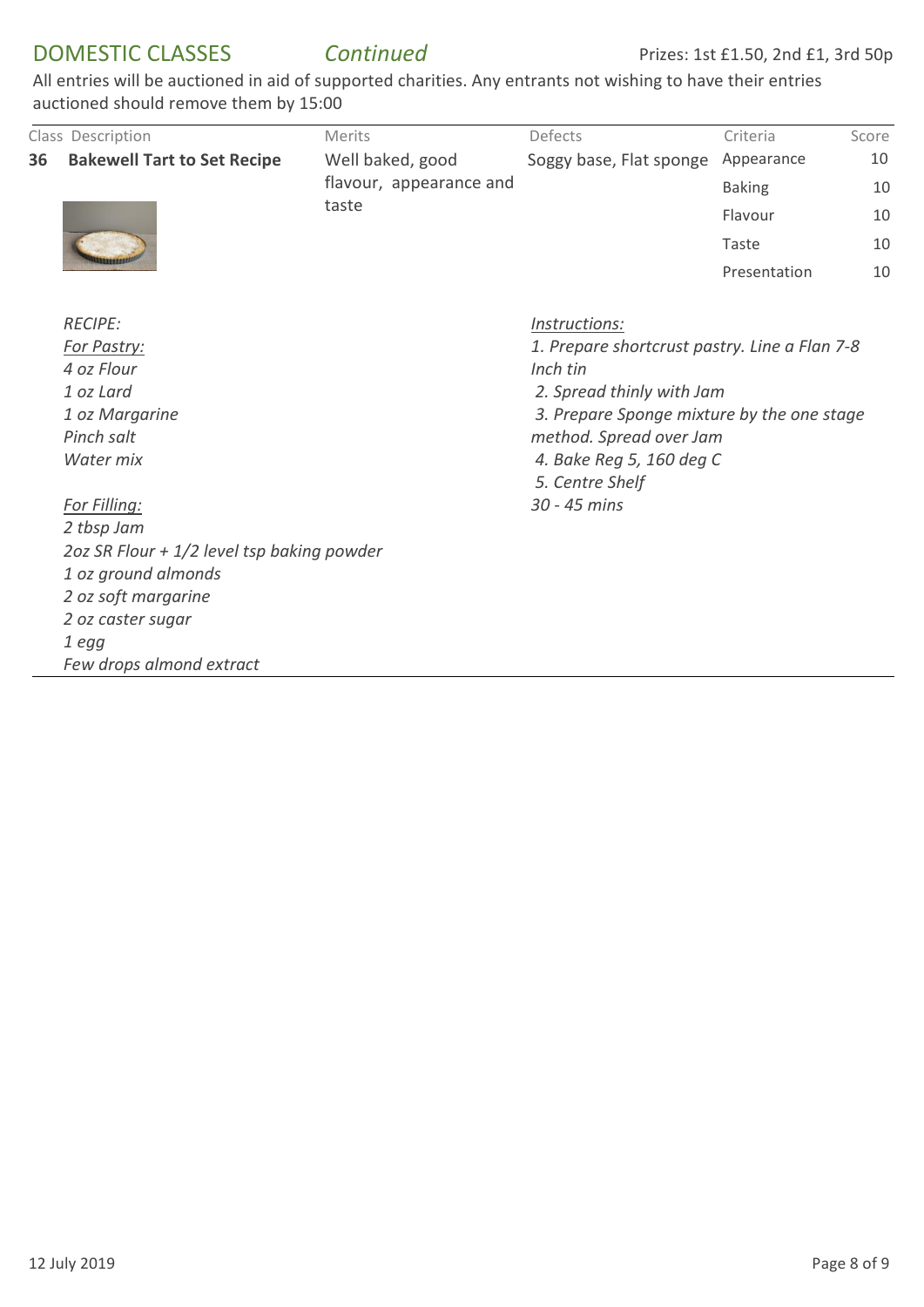## DOMESTIC CLASSES *Continued*

|    | Class Description                          | Merits                                               | Defects                                                                                                                              | Criteria        | Score |  |                         |
|----|--------------------------------------------|------------------------------------------------------|--------------------------------------------------------------------------------------------------------------------------------------|-----------------|-------|--|-------------------------|
| 36 | <b>Bakewell Tart to Set Recipe</b>         | Well baked, good<br>flavour, appearance and<br>taste | Soggy base, Flat sponge                                                                                                              | Appearance      | 10    |  |                         |
|    |                                            |                                                      |                                                                                                                                      | <b>Baking</b>   | 10    |  |                         |
|    |                                            |                                                      |                                                                                                                                      | Flavour         | 10    |  |                         |
|    |                                            |                                                      |                                                                                                                                      | Taste           | 10    |  |                         |
|    |                                            |                                                      |                                                                                                                                      | Presentation    | 10    |  |                         |
|    | <b>RECIPE:</b>                             |                                                      | Instructions:                                                                                                                        |                 |       |  |                         |
|    | For Pastry:<br>4 oz Flour                  |                                                      | 1. Prepare shortcrust pastry. Line a Flan 7-8<br>Inch tin<br>2. Spread thinly with Jam<br>3. Prepare Sponge mixture by the one stage |                 |       |  |                         |
|    |                                            |                                                      |                                                                                                                                      |                 |       |  | 1 oz Lard               |
|    | 1 oz Margarine                             |                                                      |                                                                                                                                      |                 |       |  |                         |
|    | Pinch salt                                 |                                                      |                                                                                                                                      |                 |       |  | method. Spread over Jam |
|    | Water mix                                  |                                                      | 4. Bake Reg 5, 160 deg C                                                                                                             |                 |       |  |                         |
|    |                                            |                                                      |                                                                                                                                      | 5. Centre Shelf |       |  |                         |
|    | For Filling:                               |                                                      | 30 - 45 mins                                                                                                                         |                 |       |  |                         |
|    | 2 tbsp Jam                                 |                                                      |                                                                                                                                      |                 |       |  |                         |
|    | 2oz SR Flour + 1/2 level tsp baking powder |                                                      |                                                                                                                                      |                 |       |  |                         |
|    | 1 oz ground almonds                        |                                                      |                                                                                                                                      |                 |       |  |                         |
|    | 2 oz soft margarine                        |                                                      |                                                                                                                                      |                 |       |  |                         |
|    | 2 oz caster sugar                          |                                                      |                                                                                                                                      |                 |       |  |                         |
|    | 1 egg                                      |                                                      |                                                                                                                                      |                 |       |  |                         |
|    | Few drops almond extract                   |                                                      |                                                                                                                                      |                 |       |  |                         |